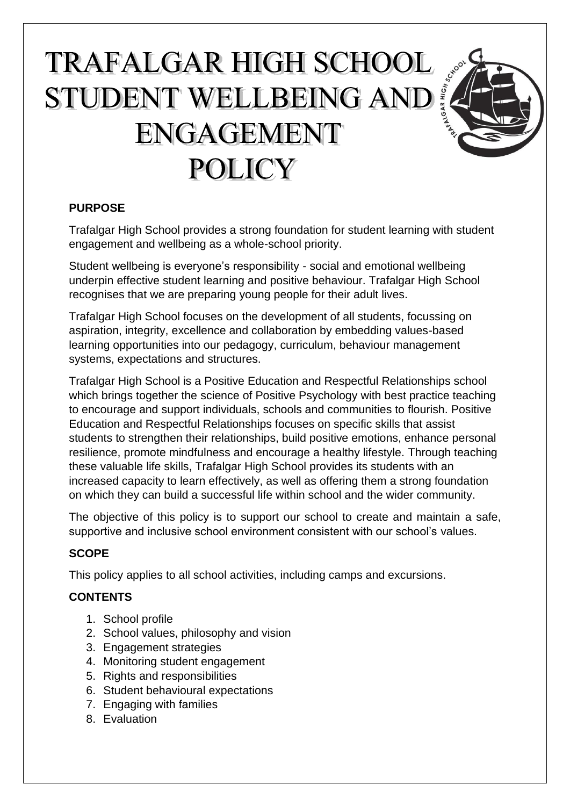# TRAFALGAR HIGH SCHOOL TRAFALGAR HIGH SCHOOL<br>STUDENT WELLBEING AND **ENGAGEMENT POLICY**



Trafalgar High School provides a strong foundation for student learning with student engagement and wellbeing as a whole-school priority.

Student wellbeing is everyone's responsibility - social and emotional wellbeing underpin effective student learning and positive behaviour. Trafalgar High School recognises that we are preparing young people for their adult lives.

Trafalgar High School focuses on the development of all students, focussing on aspiration, integrity, excellence and collaboration by embedding values-based learning opportunities into our pedagogy, curriculum, behaviour management systems, expectations and structures.

Trafalgar High School is a Positive Education and Respectful Relationships school which brings together the [science of Positive Psychology](https://www.ggs.vic.edu.au/School/Positive-Education/What-is-Positive-Education-/About-Positive-Psychology) with best practice teaching to encourage and support individuals, schools and communities to flourish. Positive Education and Respectful Relationships focuses on specific skills that assist students to strengthen their relationships, build positive emotions, enhance personal resilience, promote mindfulness and encourage a healthy lifestyle. Through teaching these valuable life skills, Trafalgar High School provides its students with an increased capacity to learn effectively, as well as offering them a strong foundation on which they can build a successful life within school and the wider community.

The objective of this policy is to support our school to create and maintain a safe, supportive and inclusive school environment consistent with our school's values.

# **SCOPE**

This policy applies to all school activities, including camps and excursions.

# **CONTENTS**

- 1. School profile
- 2. School values, philosophy and vision
- 3. Engagement strategies
- 4. Monitoring student engagement
- 5. Rights and responsibilities
- 6. Student behavioural expectations
- 7. Engaging with families
- 8. Evaluation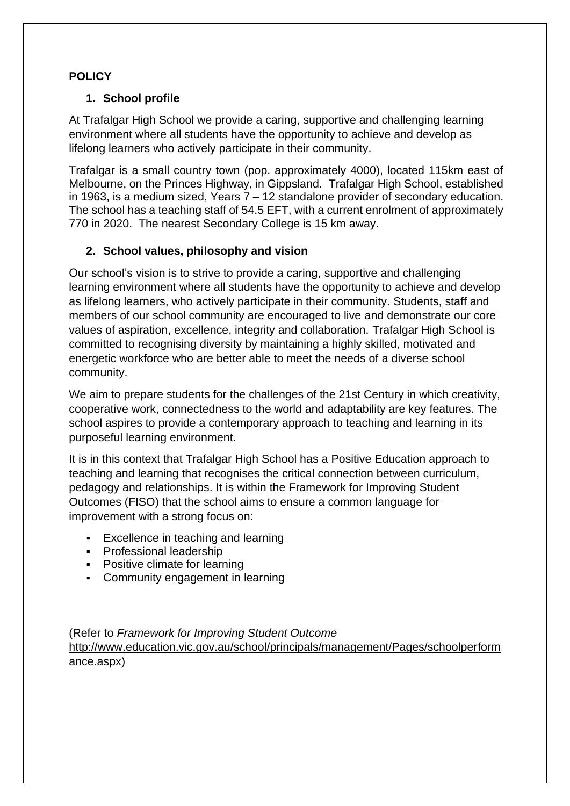# **POLICY**

## **1. School profile**

At Trafalgar High School we provide a caring, supportive and challenging learning environment where all students have the opportunity to achieve and develop as lifelong learners who actively participate in their community.

Trafalgar is a small country town (pop. approximately 4000), located 115km east of Melbourne, on the Princes Highway, in Gippsland. Trafalgar High School, established in 1963, is a medium sized, Years 7 – 12 standalone provider of secondary education. The school has a teaching staff of 54.5 EFT, with a current enrolment of approximately 770 in 2020. The nearest Secondary College is 15 km away.

## **2. School values, philosophy and vision**

Our school's vision is to strive to provide a caring, supportive and challenging learning environment where all students have the opportunity to achieve and develop as lifelong learners, who actively participate in their community. Students, staff and members of our school community are encouraged to live and demonstrate our core values of aspiration, excellence, integrity and collaboration. Trafalgar High School is committed to recognising diversity by maintaining a highly skilled, motivated and energetic workforce who are better able to meet the needs of a diverse school community.

We aim to prepare students for the challenges of the 21st Century in which creativity, cooperative work, connectedness to the world and adaptability are key features. The school aspires to provide a contemporary approach to teaching and learning in its purposeful learning environment.

It is in this context that Trafalgar High School has a Positive Education approach to teaching and learning that recognises the critical connection between curriculum, pedagogy and relationships. It is within the Framework for Improving Student Outcomes (FISO) that the school aims to ensure a common language for improvement with a strong focus on:

- Excellence in teaching and learning
- **•** Professional leadership
- Positive climate for learning
- Community engagement in learning

(Refer to *Framework for Improving Student Outcome* [http://www.education.vic.gov.au/school/principals/management/Pages/schoolperform](http://www.education.vic.gov.au/school/principals/management/Pages/schoolperformance.aspx) [ance.aspx\)](http://www.education.vic.gov.au/school/principals/management/Pages/schoolperformance.aspx)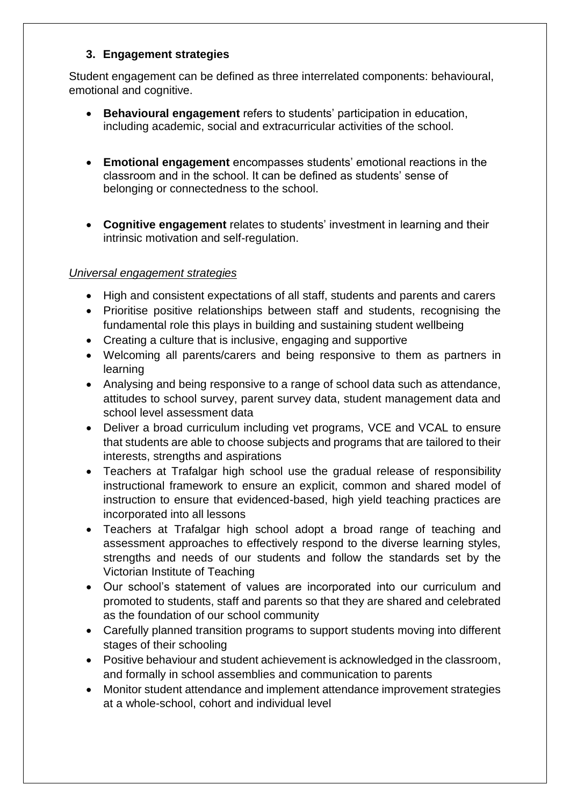### **3. Engagement strategies**

Student engagement can be defined as three interrelated components: behavioural, emotional and cognitive.

- **Behavioural engagement** refers to students' participation in education, including academic, social and extracurricular activities of the school.
- **Emotional engagement** encompasses students' emotional reactions in the classroom and in the school. It can be defined as students' sense of belonging or connectedness to the school.
- **Cognitive engagement** relates to students' investment in learning and their intrinsic motivation and self-regulation.

## *Universal engagement strategies*

- High and consistent expectations of all staff, students and parents and carers
- Prioritise positive relationships between staff and students, recognising the fundamental role this plays in building and sustaining student wellbeing
- Creating a culture that is inclusive, engaging and supportive
- Welcoming all parents/carers and being responsive to them as partners in learning
- Analysing and being responsive to a range of school data such as attendance, attitudes to school survey, parent survey data, student management data and school level assessment data
- Deliver a broad curriculum including vet programs, VCE and VCAL to ensure that students are able to choose subjects and programs that are tailored to their interests, strengths and aspirations
- Teachers at Trafalgar high school use the gradual release of responsibility instructional framework to ensure an explicit, common and shared model of instruction to ensure that evidenced-based, high yield teaching practices are incorporated into all lessons
- Teachers at Trafalgar high school adopt a broad range of teaching and assessment approaches to effectively respond to the diverse learning styles, strengths and needs of our students and follow the standards set by the Victorian Institute of Teaching
- Our school's statement of values are incorporated into our curriculum and promoted to students, staff and parents so that they are shared and celebrated as the foundation of our school community
- Carefully planned transition programs to support students moving into different stages of their schooling
- Positive behaviour and student achievement is acknowledged in the classroom, and formally in school assemblies and communication to parents
- Monitor student attendance and implement attendance improvement strategies at a whole-school, cohort and individual level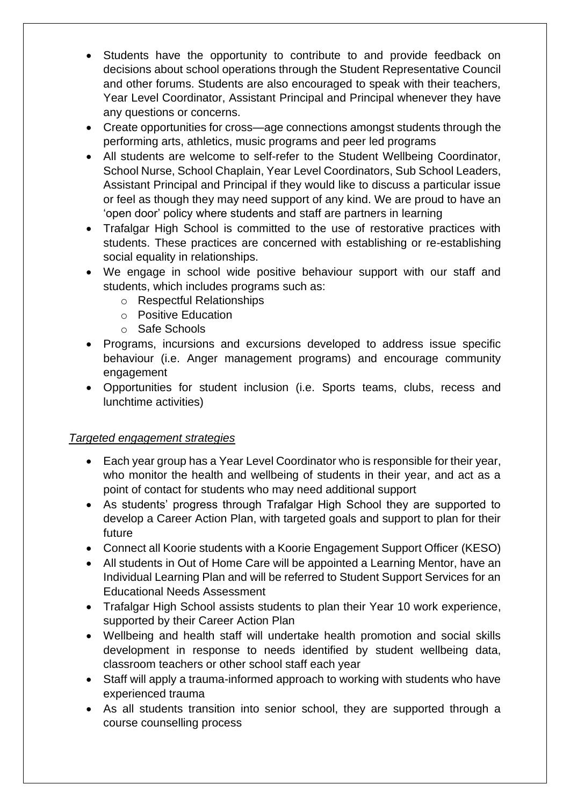- Students have the opportunity to contribute to and provide feedback on decisions about school operations through the Student Representative Council and other forums. Students are also encouraged to speak with their teachers, Year Level Coordinator, Assistant Principal and Principal whenever they have any questions or concerns.
- Create opportunities for cross—age connections amongst students through the performing arts, athletics, music programs and peer led programs
- All students are welcome to self-refer to the Student Wellbeing Coordinator, School Nurse, School Chaplain, Year Level Coordinators, Sub School Leaders, Assistant Principal and Principal if they would like to discuss a particular issue or feel as though they may need support of any kind. We are proud to have an 'open door' policy where students and staff are partners in learning
- Trafalgar High School is committed to the use of restorative practices with students. These practices are concerned with establishing or re-establishing social equality in relationships.
- We engage in school wide positive behaviour support with our staff and students, which includes programs such as:
	- o Respectful Relationships
	- o Positive Education
	- o Safe Schools
- Programs, incursions and excursions developed to address issue specific behaviour (i.e. Anger management programs) and encourage community engagement
- Opportunities for student inclusion (i.e. Sports teams, clubs, recess and lunchtime activities)

#### *Targeted engagement strategies*

- Each year group has a Year Level Coordinator who is responsible for their year, who monitor the health and wellbeing of students in their year, and act as a point of contact for students who may need additional support
- As students' progress through Trafalgar High School they are supported to develop a Career Action Plan, with targeted goals and support to plan for their future
- Connect all Koorie students with a Koorie Engagement Support Officer (KESO)
- All students in Out of Home Care will be appointed a Learning Mentor, have an Individual Learning Plan and will be referred to Student Support Services for an Educational Needs Assessment
- Trafalgar High School assists students to plan their Year 10 work experience, supported by their Career Action Plan
- Wellbeing and health staff will undertake health promotion and social skills development in response to needs identified by student wellbeing data, classroom teachers or other school staff each year
- Staff will apply a trauma-informed approach to working with students who have experienced trauma
- As all students transition into senior school, they are supported through a course counselling process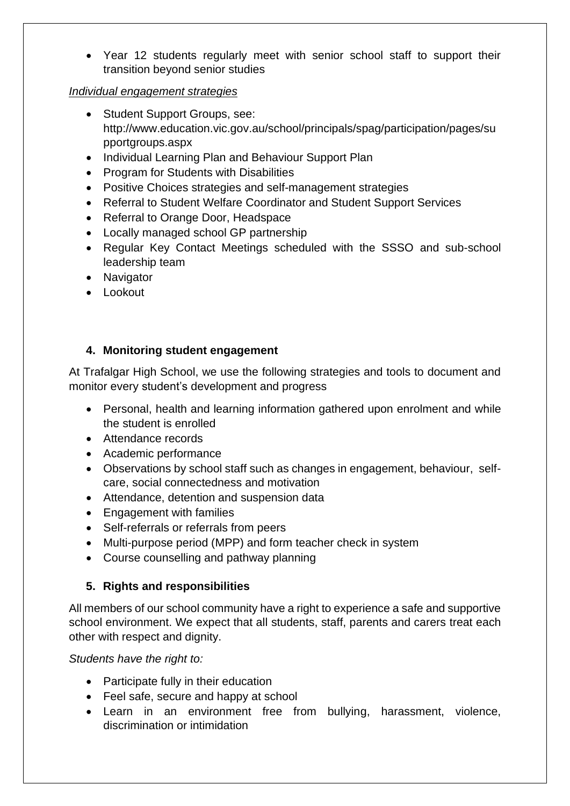• Year 12 students regularly meet with senior school staff to support their transition beyond senior studies

#### *Individual engagement strategies*

- Student Support Groups, see: http://www.education.vic.gov.au/school/principals/spag/participation/pages/su pportgroups.aspx
- Individual Learning Plan and Behaviour Support Plan
- Program for Students with Disabilities
- Positive Choices strategies and self-management strategies
- Referral to Student Welfare Coordinator and Student Support Services
- Referral to Orange Door, Headspace
- Locally managed school GP partnership
- Regular Key Contact Meetings scheduled with the SSSO and sub-school leadership team
- Navigator
- Lookout

## **4. Monitoring student engagement**

At Trafalgar High School, we use the following strategies and tools to document and monitor every student's development and progress

- Personal, health and learning information gathered upon enrolment and while the student is enrolled
- Attendance records
- Academic performance
- Observations by school staff such as changes in engagement, behaviour, selfcare, social connectedness and motivation
- Attendance, detention and suspension data
- Engagement with families
- Self-referrals or referrals from peers
- Multi-purpose period (MPP) and form teacher check in system
- Course counselling and pathway planning

#### **5. Rights and responsibilities**

All members of our school community have a right to experience a safe and supportive school environment. We expect that all students, staff, parents and carers treat each other with respect and dignity.

*Students have the right to:*

- Participate fully in their education
- Feel safe, secure and happy at school
- Learn in an environment free from bullying, harassment, violence, discrimination or intimidation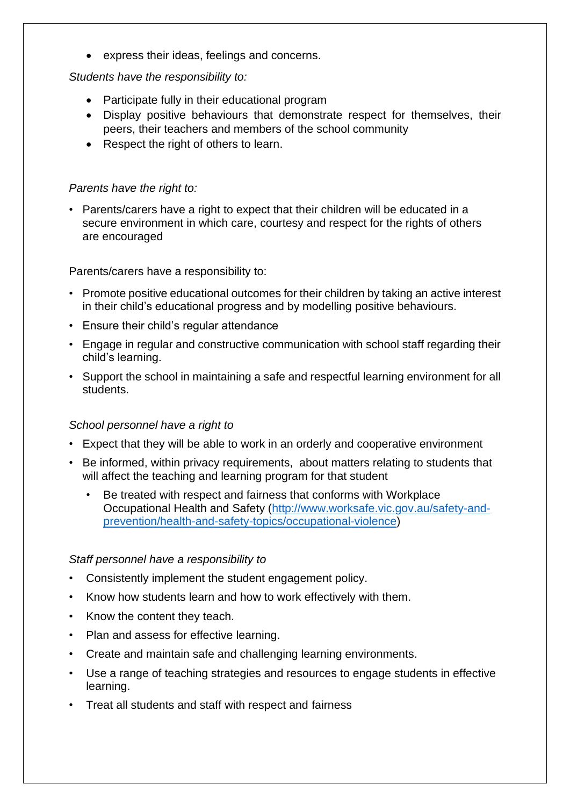• express their ideas, feelings and concerns.

#### *Students have the responsibility to:*

- Participate fully in their educational program
- Display positive behaviours that demonstrate respect for themselves, their peers, their teachers and members of the school community
- Respect the right of others to learn.

## *Parents have the right to:*

• Parents/carers have a right to expect that their children will be educated in a secure environment in which care, courtesy and respect for the rights of others are encouraged

Parents/carers have a responsibility to:

- Promote positive educational outcomes for their children by taking an active interest in their child's educational progress and by modelling positive behaviours.
- Ensure their child's regular attendance
- Engage in regular and constructive communication with school staff regarding their child's learning.
- Support the school in maintaining a safe and respectful learning environment for all students.

#### *School personnel have a right to*

- Expect that they will be able to work in an orderly and cooperative environment
- Be informed, within privacy requirements, about matters relating to students that will affect the teaching and learning program for that student
	- Be treated with respect and fairness that conforms with Workplace Occupational Health and Safety [\(http://www.worksafe.vic.gov.au/safety-and](http://www.worksafe.vic.gov.au/safety-and-prevention/health-and-safety-topics/occupational-violence)[prevention/health-and-safety-topics/occupational-violence\)](http://www.worksafe.vic.gov.au/safety-and-prevention/health-and-safety-topics/occupational-violence)

#### *Staff personnel have a responsibility to*

- Consistently implement the student engagement policy.
- Know how students learn and how to work effectively with them.
- Know the content they teach.
- Plan and assess for effective learning.
- Create and maintain safe and challenging learning environments.
- Use a range of teaching strategies and resources to engage students in effective learning.
- Treat all students and staff with respect and fairness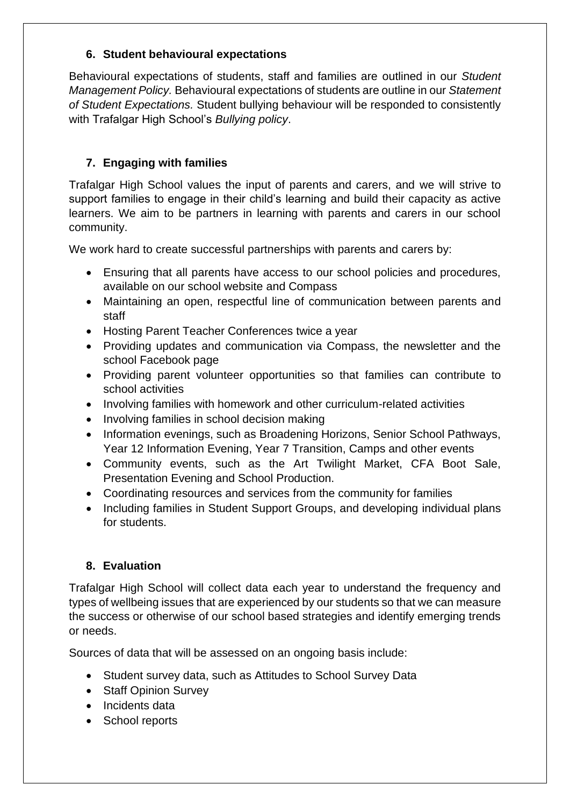## **6. Student behavioural expectations**

Behavioural expectations of students, staff and families are outlined in our *Student Management Policy.* Behavioural expectations of students are outline in our *Statement of Student Expectations.* Student bullying behaviour will be responded to consistently with Trafalgar High School's *Bullying policy*.

# **7. Engaging with families**

Trafalgar High School values the input of parents and carers, and we will strive to support families to engage in their child's learning and build their capacity as active learners. We aim to be partners in learning with parents and carers in our school community.

We work hard to create successful partnerships with parents and carers by:

- Ensuring that all parents have access to our school policies and procedures, available on our school website and Compass
- Maintaining an open, respectful line of communication between parents and staff
- Hosting Parent Teacher Conferences twice a year
- Providing updates and communication via Compass, the newsletter and the school Facebook page
- Providing parent volunteer opportunities so that families can contribute to school activities
- Involving families with homework and other curriculum-related activities
- Involving families in school decision making
- Information evenings, such as Broadening Horizons, Senior School Pathways, Year 12 Information Evening, Year 7 Transition, Camps and other events
- Community events, such as the Art Twilight Market, CFA Boot Sale, Presentation Evening and School Production.
- Coordinating resources and services from the community for families
- Including families in Student Support Groups, and developing individual plans for students.

# **8. Evaluation**

Trafalgar High School will collect data each year to understand the frequency and types of wellbeing issues that are experienced by our students so that we can measure the success or otherwise of our school based strategies and identify emerging trends or needs.

Sources of data that will be assessed on an ongoing basis include:

- Student survey data, such as Attitudes to School Survey Data
- Staff Opinion Survey
- Incidents data
- School reports